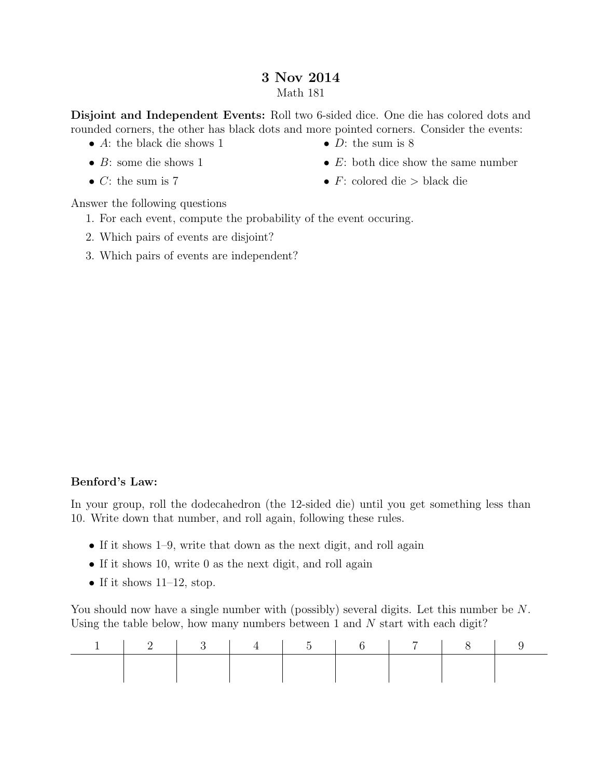## 3 Nov 2014 Math 181

Disjoint and Independent Events: Roll two 6-sided dice. One die has colored dots and rounded corners, the other has black dots and more pointed corners. Consider the events:

- A: the black die shows 1
- $\bullet$  *B*: some die shows 1
- $C:$  the sum is 7
- $D$ : the sum is 8
- $E$ : both dice show the same number
- $F:$  colored die > black die

Answer the following questions

- 1. For each event, compute the probability of the event occuring.
- 2. Which pairs of events are disjoint?
- 3. Which pairs of events are independent?

## Benford's Law:

In your group, roll the dodecahedron (the 12-sided die) until you get something less than 10. Write down that number, and roll again, following these rules.

- If it shows 1–9, write that down as the next digit, and roll again
- If it shows 10, write 0 as the next digit, and roll again
- If it shows  $11-12$ , stop.

You should now have a single number with (possibly) several digits. Let this number be N. Using the table below, how many numbers between 1 and  $N$  start with each digit?

|  | $1 \t 2 \t 3 \t 4 \t 5 \t 6 \t 7 \t 8 \t 1$ |  |  |  |
|--|---------------------------------------------|--|--|--|
|  |                                             |  |  |  |